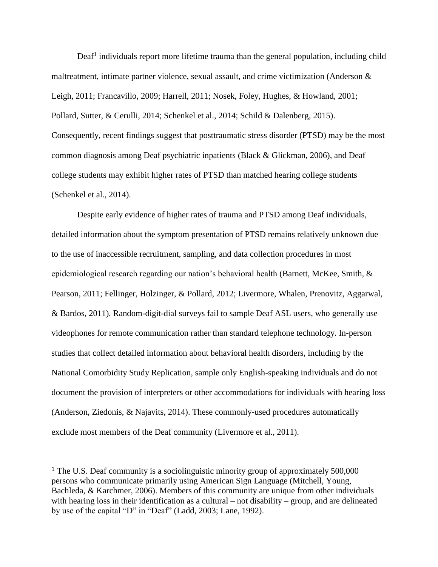Deaf<sup>1</sup> individuals report more lifetime trauma than the general population, including child maltreatment, intimate partner violence, sexual assault, and crime victimization (Anderson & Leigh, 2011; Francavillo, 2009; Harrell, 2011; Nosek, Foley, Hughes, & Howland, 2001; Pollard, Sutter, & Cerulli, 2014; Schenkel et al., 2014; Schild & Dalenberg, 2015). Consequently, recent findings suggest that posttraumatic stress disorder (PTSD) may be the most common diagnosis among Deaf psychiatric inpatients (Black & Glickman, 2006), and Deaf college students may exhibit higher rates of PTSD than matched hearing college students (Schenkel et al., 2014).

Despite early evidence of higher rates of trauma and PTSD among Deaf individuals, detailed information about the symptom presentation of PTSD remains relatively unknown due to the use of inaccessible recruitment, sampling, and data collection procedures in most epidemiological research regarding our nation's behavioral health (Barnett, McKee, Smith, & Pearson, 2011; Fellinger, Holzinger, & Pollard, 2012; Livermore, Whalen, Prenovitz, Aggarwal, & Bardos, 2011). Random-digit-dial surveys fail to sample Deaf ASL users, who generally use videophones for remote communication rather than standard telephone technology. In-person studies that collect detailed information about behavioral health disorders, including by the National Comorbidity Study Replication, sample only English-speaking individuals and do not document the provision of interpreters or other accommodations for individuals with hearing loss (Anderson, Ziedonis, & Najavits, 2014). These commonly-used procedures automatically exclude most members of the Deaf community (Livermore et al., 2011).

 $\overline{a}$ 

<sup>&</sup>lt;sup>1</sup> The U.S. Deaf community is a sociolinguistic minority group of approximately 500,000 persons who communicate primarily using American Sign Language (Mitchell, Young, Bachleda, & Karchmer, 2006). Members of this community are unique from other individuals with hearing loss in their identification as a cultural – not disability – group, and are delineated by use of the capital "D" in "Deaf" (Ladd, 2003; Lane, 1992).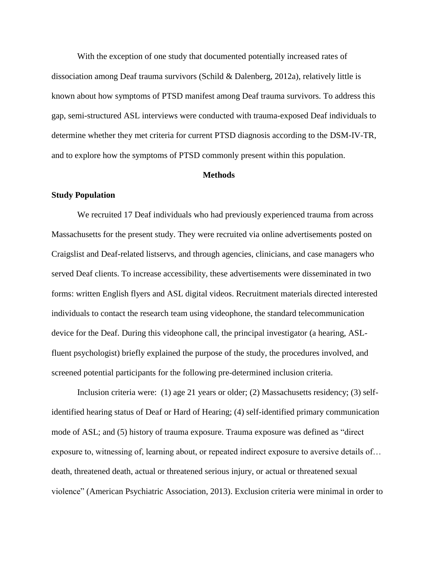With the exception of one study that documented potentially increased rates of dissociation among Deaf trauma survivors (Schild & Dalenberg, 2012a), relatively little is known about how symptoms of PTSD manifest among Deaf trauma survivors. To address this gap, semi-structured ASL interviews were conducted with trauma-exposed Deaf individuals to determine whether they met criteria for current PTSD diagnosis according to the DSM-IV-TR, and to explore how the symptoms of PTSD commonly present within this population.

#### **Methods**

# **Study Population**

We recruited 17 Deaf individuals who had previously experienced trauma from across Massachusetts for the present study. They were recruited via online advertisements posted on Craigslist and Deaf-related listservs, and through agencies, clinicians, and case managers who served Deaf clients. To increase accessibility, these advertisements were disseminated in two forms: written English flyers and ASL digital videos. Recruitment materials directed interested individuals to contact the research team using videophone, the standard telecommunication device for the Deaf. During this videophone call, the principal investigator (a hearing, ASLfluent psychologist) briefly explained the purpose of the study, the procedures involved, and screened potential participants for the following pre-determined inclusion criteria.

Inclusion criteria were: (1) age 21 years or older; (2) Massachusetts residency; (3) selfidentified hearing status of Deaf or Hard of Hearing; (4) self-identified primary communication mode of ASL; and (5) history of trauma exposure. Trauma exposure was defined as "direct exposure to, witnessing of, learning about, or repeated indirect exposure to aversive details of… death, threatened death, actual or threatened serious injury, or actual or threatened sexual violence" (American Psychiatric Association, 2013). Exclusion criteria were minimal in order to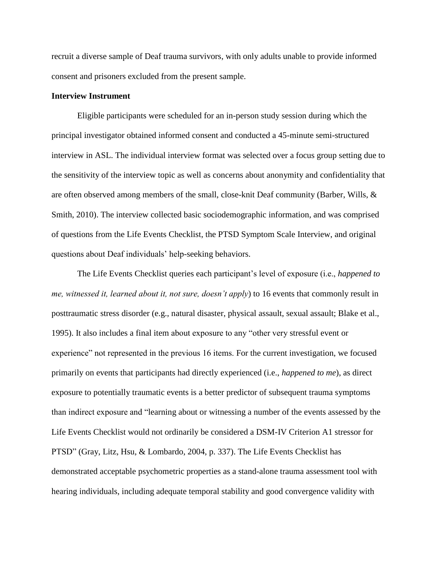recruit a diverse sample of Deaf trauma survivors, with only adults unable to provide informed consent and prisoners excluded from the present sample.

# **Interview Instrument**

Eligible participants were scheduled for an in-person study session during which the principal investigator obtained informed consent and conducted a 45-minute semi-structured interview in ASL. The individual interview format was selected over a focus group setting due to the sensitivity of the interview topic as well as concerns about anonymity and confidentiality that are often observed among members of the small, close-knit Deaf community (Barber, Wills, & Smith, 2010). The interview collected basic sociodemographic information, and was comprised of questions from the Life Events Checklist, the PTSD Symptom Scale Interview, and original questions about Deaf individuals' help-seeking behaviors.

The Life Events Checklist queries each participant's level of exposure (i.e., *happened to me, witnessed it, learned about it, not sure, doesn't apply*) to 16 events that commonly result in posttraumatic stress disorder (e.g., natural disaster, physical assault, sexual assault; Blake et al., 1995). It also includes a final item about exposure to any "other very stressful event or experience" not represented in the previous 16 items. For the current investigation, we focused primarily on events that participants had directly experienced (i.e., *happened to me*), as direct exposure to potentially traumatic events is a better predictor of subsequent trauma symptoms than indirect exposure and "learning about or witnessing a number of the events assessed by the Life Events Checklist would not ordinarily be considered a DSM-IV Criterion A1 stressor for PTSD" (Gray, Litz, Hsu, & Lombardo, 2004, p. 337). The Life Events Checklist has demonstrated acceptable psychometric properties as a stand-alone trauma assessment tool with hearing individuals, including adequate temporal stability and good convergence validity with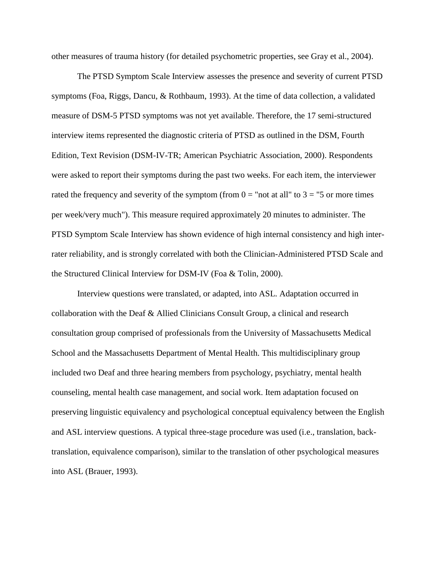other measures of trauma history (for detailed psychometric properties, see Gray et al., 2004).

The PTSD Symptom Scale Interview assesses the presence and severity of current PTSD symptoms (Foa, Riggs, Dancu, & Rothbaum, 1993). At the time of data collection, a validated measure of DSM-5 PTSD symptoms was not yet available. Therefore, the 17 semi-structured interview items represented the diagnostic criteria of PTSD as outlined in the DSM, Fourth Edition, Text Revision (DSM-IV-TR; American Psychiatric Association, 2000). Respondents were asked to report their symptoms during the past two weeks. For each item, the interviewer rated the frequency and severity of the symptom (from  $0 =$  "not at all" to  $3 =$  "5 or more times per week/very much"). This measure required approximately 20 minutes to administer. The PTSD Symptom Scale Interview has shown evidence of high internal consistency and high interrater reliability, and is strongly correlated with both the Clinician-Administered PTSD Scale and the Structured Clinical Interview for DSM-IV (Foa & Tolin, 2000).

Interview questions were translated, or adapted, into ASL. Adaptation occurred in collaboration with the Deaf & Allied Clinicians Consult Group, a clinical and research consultation group comprised of professionals from the University of Massachusetts Medical School and the Massachusetts Department of Mental Health. This multidisciplinary group included two Deaf and three hearing members from psychology, psychiatry, mental health counseling, mental health case management, and social work. Item adaptation focused on preserving linguistic equivalency and psychological conceptual equivalency between the English and ASL interview questions. A typical three-stage procedure was used (i.e., translation, backtranslation, equivalence comparison), similar to the translation of other psychological measures into ASL (Brauer, 1993).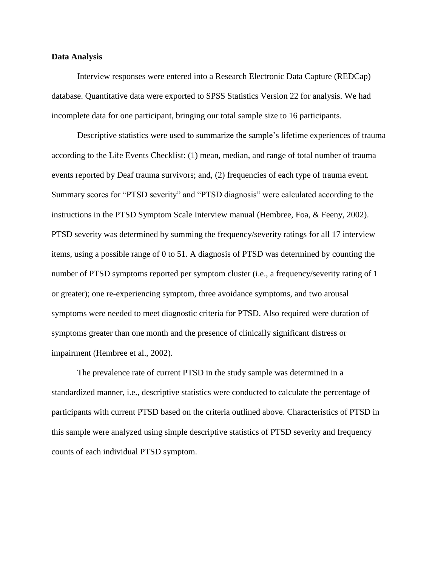# **Data Analysis**

Interview responses were entered into a Research Electronic Data Capture (REDCap) database. Quantitative data were exported to SPSS Statistics Version 22 for analysis. We had incomplete data for one participant, bringing our total sample size to 16 participants.

Descriptive statistics were used to summarize the sample's lifetime experiences of trauma according to the Life Events Checklist: (1) mean, median, and range of total number of trauma events reported by Deaf trauma survivors; and, (2) frequencies of each type of trauma event. Summary scores for "PTSD severity" and "PTSD diagnosis" were calculated according to the instructions in the PTSD Symptom Scale Interview manual (Hembree, Foa, & Feeny, 2002). PTSD severity was determined by summing the frequency/severity ratings for all 17 interview items, using a possible range of 0 to 51. A diagnosis of PTSD was determined by counting the number of PTSD symptoms reported per symptom cluster (i.e., a frequency/severity rating of 1 or greater); one re-experiencing symptom, three avoidance symptoms, and two arousal symptoms were needed to meet diagnostic criteria for PTSD. Also required were duration of symptoms greater than one month and the presence of clinically significant distress or impairment (Hembree et al., 2002).

The prevalence rate of current PTSD in the study sample was determined in a standardized manner, i.e., descriptive statistics were conducted to calculate the percentage of participants with current PTSD based on the criteria outlined above. Characteristics of PTSD in this sample were analyzed using simple descriptive statistics of PTSD severity and frequency counts of each individual PTSD symptom.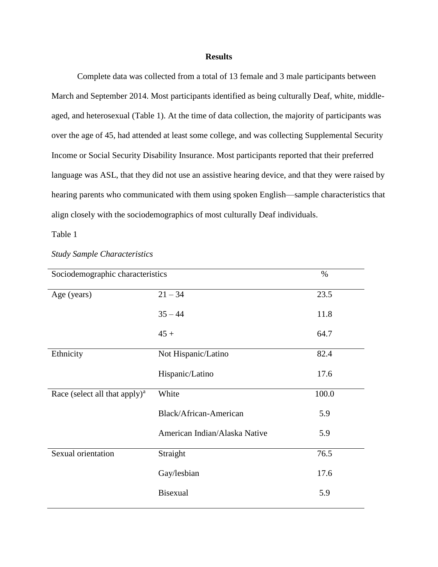# **Results**

Complete data was collected from a total of 13 female and 3 male participants between March and September 2014. Most participants identified as being culturally Deaf, white, middleaged, and heterosexual (Table 1). At the time of data collection, the majority of participants was over the age of 45, had attended at least some college, and was collecting Supplemental Security Income or Social Security Disability Insurance. Most participants reported that their preferred language was ASL, that they did not use an assistive hearing device, and that they were raised by hearing parents who communicated with them using spoken English—sample characteristics that align closely with the sociodemographics of most culturally Deaf individuals.

Table 1

| Sociodemographic characteristics          |                               | $\%$  |
|-------------------------------------------|-------------------------------|-------|
| Age (years)                               | $21 - 34$                     | 23.5  |
|                                           | $35 - 44$                     | 11.8  |
|                                           | $45 +$                        | 64.7  |
| Ethnicity                                 | Not Hispanic/Latino           | 82.4  |
|                                           | Hispanic/Latino               | 17.6  |
| Race (select all that apply) <sup>a</sup> | White                         | 100.0 |
|                                           | Black/African-American        | 5.9   |
|                                           | American Indian/Alaska Native | 5.9   |
| Sexual orientation                        | Straight                      | 76.5  |
|                                           | Gay/lesbian                   | 17.6  |
|                                           | <b>Bisexual</b>               | 5.9   |

*Study Sample Characteristics*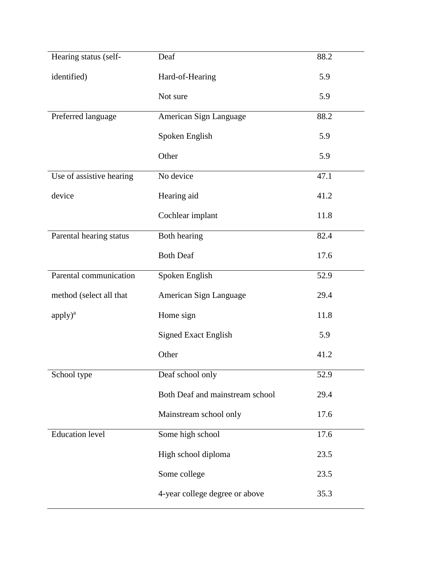| Hearing status (self-    | Deaf                            | 88.2 |
|--------------------------|---------------------------------|------|
| identified)              | Hard-of-Hearing                 | 5.9  |
|                          | Not sure                        | 5.9  |
| Preferred language       | American Sign Language          | 88.2 |
|                          | Spoken English                  | 5.9  |
|                          | Other                           | 5.9  |
| Use of assistive hearing | No device                       | 47.1 |
| device                   | Hearing aid                     | 41.2 |
|                          | Cochlear implant                | 11.8 |
| Parental hearing status  | Both hearing                    | 82.4 |
|                          | <b>Both Deaf</b>                | 17.6 |
| Parental communication   | Spoken English                  | 52.9 |
| method (select all that  | American Sign Language          | 29.4 |
| $apply)^a$               | Home sign                       | 11.8 |
|                          | <b>Signed Exact English</b>     | 5.9  |
|                          | Other                           | 41.2 |
| School type              | Deaf school only                | 52.9 |
|                          | Both Deaf and mainstream school | 29.4 |
|                          | Mainstream school only          | 17.6 |
| <b>Education</b> level   | Some high school                | 17.6 |
|                          | High school diploma             | 23.5 |
|                          | Some college                    | 23.5 |
|                          | 4-year college degree or above  | 35.3 |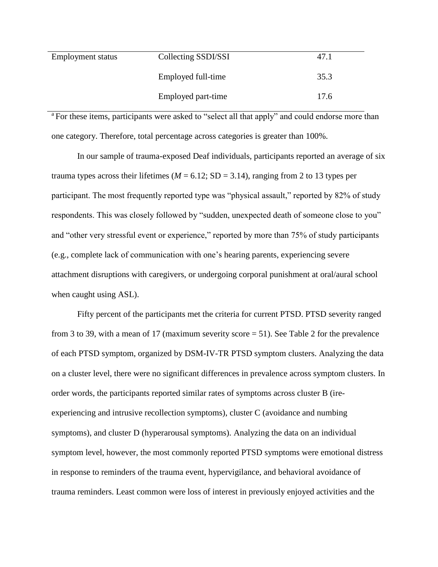| <b>Employment status</b> | Collecting SSDI/SSI | 47.1 |
|--------------------------|---------------------|------|
|                          | Employed full-time  | 35.3 |
|                          | Employed part-time  | 17.6 |

<sup>a</sup> For these items, participants were asked to "select all that apply" and could endorse more than one category. Therefore, total percentage across categories is greater than 100%.

In our sample of trauma-exposed Deaf individuals, participants reported an average of six trauma types across their lifetimes ( $M = 6.12$ ; SD = 3.14), ranging from 2 to 13 types per participant. The most frequently reported type was "physical assault," reported by 82% of study respondents. This was closely followed by "sudden, unexpected death of someone close to you" and "other very stressful event or experience," reported by more than 75% of study participants (e.g., complete lack of communication with one's hearing parents, experiencing severe attachment disruptions with caregivers, or undergoing corporal punishment at oral/aural school when caught using ASL).

Fifty percent of the participants met the criteria for current PTSD. PTSD severity ranged from 3 to 39, with a mean of 17 (maximum severity score = 51). See Table 2 for the prevalence of each PTSD symptom, organized by DSM-IV-TR PTSD symptom clusters. Analyzing the data on a cluster level, there were no significant differences in prevalence across symptom clusters. In order words, the participants reported similar rates of symptoms across cluster B (ireexperiencing and intrusive recollection symptoms), cluster C (avoidance and numbing symptoms), and cluster D (hyperarousal symptoms). Analyzing the data on an individual symptom level, however, the most commonly reported PTSD symptoms were emotional distress in response to reminders of the trauma event, hypervigilance, and behavioral avoidance of trauma reminders. Least common were loss of interest in previously enjoyed activities and the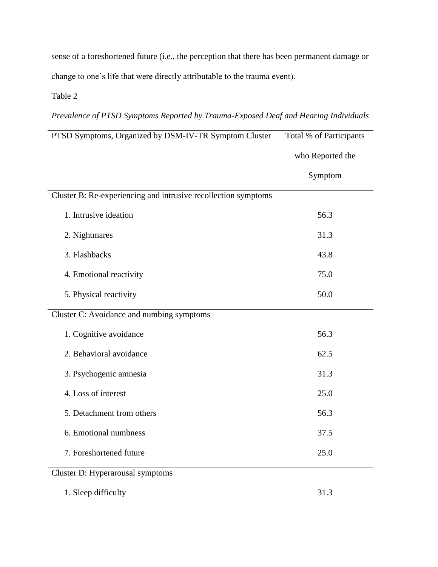sense of a foreshortened future (i.e., the perception that there has been permanent damage or change to one's life that were directly attributable to the trauma event).

Table 2

# *Prevalence of PTSD Symptoms Reported by Trauma-Exposed Deaf and Hearing Individuals*

| PTSD Symptoms, Organized by DSM-IV-TR Symptom Cluster          | Total % of Participants |
|----------------------------------------------------------------|-------------------------|
|                                                                | who Reported the        |
|                                                                | Symptom                 |
| Cluster B: Re-experiencing and intrusive recollection symptoms |                         |
| 1. Intrusive ideation                                          | 56.3                    |
| 2. Nightmares                                                  | 31.3                    |
| 3. Flashbacks                                                  | 43.8                    |
| 4. Emotional reactivity                                        | 75.0                    |
| 5. Physical reactivity                                         | 50.0                    |
| Cluster C: Avoidance and numbing symptoms                      |                         |
| 1. Cognitive avoidance                                         | 56.3                    |
| 2. Behavioral avoidance                                        | 62.5                    |
| 3. Psychogenic amnesia                                         | 31.3                    |
| 4. Loss of interest                                            | 25.0                    |
| 5. Detachment from others                                      | 56.3                    |
| 6. Emotional numbness                                          | 37.5                    |
| 7. Foreshortened future                                        | 25.0                    |
| Cluster D: Hyperarousal symptoms                               |                         |
| 1. Sleep difficulty                                            | 31.3                    |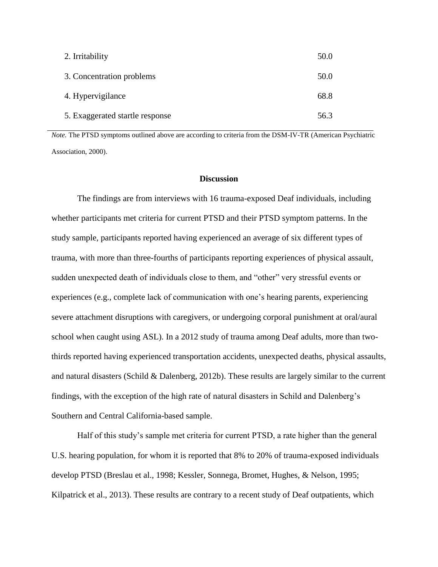| 2. Irritability                 | 50.0 |
|---------------------------------|------|
| 3. Concentration problems       | 50.0 |
| 4. Hypervigilance               | 68.8 |
| 5. Exaggerated startle response | 56.3 |

*Note.* The PTSD symptoms outlined above are according to criteria from the DSM-IV-TR (American Psychiatric Association, 2000).

# **Discussion**

The findings are from interviews with 16 trauma-exposed Deaf individuals, including whether participants met criteria for current PTSD and their PTSD symptom patterns. In the study sample, participants reported having experienced an average of six different types of trauma, with more than three-fourths of participants reporting experiences of physical assault, sudden unexpected death of individuals close to them, and "other" very stressful events or experiences (e.g., complete lack of communication with one's hearing parents, experiencing severe attachment disruptions with caregivers, or undergoing corporal punishment at oral/aural school when caught using ASL). In a 2012 study of trauma among Deaf adults, more than twothirds reported having experienced transportation accidents, unexpected deaths, physical assaults, and natural disasters (Schild & Dalenberg, 2012b). These results are largely similar to the current findings, with the exception of the high rate of natural disasters in Schild and Dalenberg's Southern and Central California-based sample.

Half of this study's sample met criteria for current PTSD, a rate higher than the general U.S. hearing population, for whom it is reported that 8% to 20% of trauma-exposed individuals develop PTSD (Breslau et al., 1998; Kessler, Sonnega, Bromet, Hughes, & Nelson, 1995; Kilpatrick et al., 2013). These results are contrary to a recent study of Deaf outpatients, which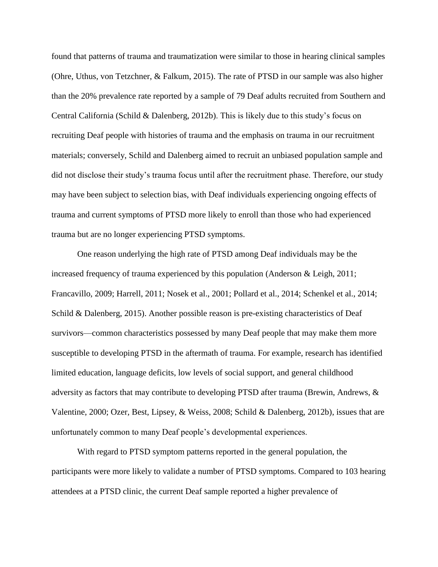found that patterns of trauma and traumatization were similar to those in hearing clinical samples (Ohre, Uthus, von Tetzchner, & Falkum, 2015). The rate of PTSD in our sample was also higher than the 20% prevalence rate reported by a sample of 79 Deaf adults recruited from Southern and Central California (Schild & Dalenberg, 2012b). This is likely due to this study's focus on recruiting Deaf people with histories of trauma and the emphasis on trauma in our recruitment materials; conversely, Schild and Dalenberg aimed to recruit an unbiased population sample and did not disclose their study's trauma focus until after the recruitment phase. Therefore, our study may have been subject to selection bias, with Deaf individuals experiencing ongoing effects of trauma and current symptoms of PTSD more likely to enroll than those who had experienced trauma but are no longer experiencing PTSD symptoms.

One reason underlying the high rate of PTSD among Deaf individuals may be the increased frequency of trauma experienced by this population (Anderson & Leigh, 2011; Francavillo, 2009; Harrell, 2011; Nosek et al., 2001; Pollard et al., 2014; Schenkel et al., 2014; Schild & Dalenberg, 2015). Another possible reason is pre-existing characteristics of Deaf survivors—common characteristics possessed by many Deaf people that may make them more susceptible to developing PTSD in the aftermath of trauma. For example, research has identified limited education, language deficits, low levels of social support, and general childhood adversity as factors that may contribute to developing PTSD after trauma (Brewin, Andrews, & Valentine, 2000; Ozer, Best, Lipsey, & Weiss, 2008; Schild & Dalenberg, 2012b), issues that are unfortunately common to many Deaf people's developmental experiences.

With regard to PTSD symptom patterns reported in the general population, the participants were more likely to validate a number of PTSD symptoms. Compared to 103 hearing attendees at a PTSD clinic, the current Deaf sample reported a higher prevalence of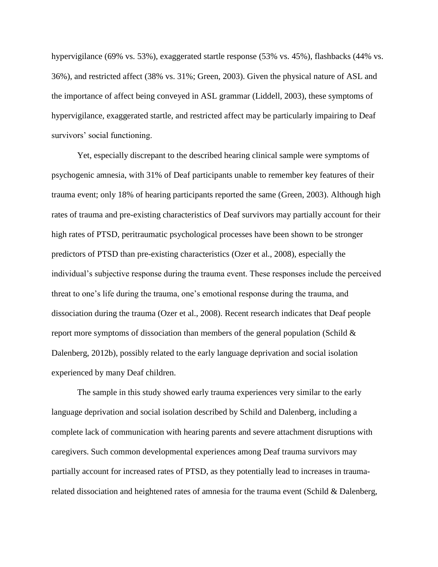hypervigilance (69% vs. 53%), exaggerated startle response (53% vs. 45%), flashbacks (44% vs. 36%), and restricted affect (38% vs. 31%; Green, 2003). Given the physical nature of ASL and the importance of affect being conveyed in ASL grammar (Liddell, 2003), these symptoms of hypervigilance, exaggerated startle, and restricted affect may be particularly impairing to Deaf survivors' social functioning.

Yet, especially discrepant to the described hearing clinical sample were symptoms of psychogenic amnesia, with 31% of Deaf participants unable to remember key features of their trauma event; only 18% of hearing participants reported the same (Green, 2003). Although high rates of trauma and pre-existing characteristics of Deaf survivors may partially account for their high rates of PTSD, peritraumatic psychological processes have been shown to be stronger predictors of PTSD than pre-existing characteristics (Ozer et al., 2008), especially the individual's subjective response during the trauma event. These responses include the perceived threat to one's life during the trauma, one's emotional response during the trauma, and dissociation during the trauma (Ozer et al., 2008). Recent research indicates that Deaf people report more symptoms of dissociation than members of the general population (Schild  $\&$ Dalenberg, 2012b), possibly related to the early language deprivation and social isolation experienced by many Deaf children.

The sample in this study showed early trauma experiences very similar to the early language deprivation and social isolation described by Schild and Dalenberg, including a complete lack of communication with hearing parents and severe attachment disruptions with caregivers. Such common developmental experiences among Deaf trauma survivors may partially account for increased rates of PTSD, as they potentially lead to increases in traumarelated dissociation and heightened rates of amnesia for the trauma event (Schild & Dalenberg,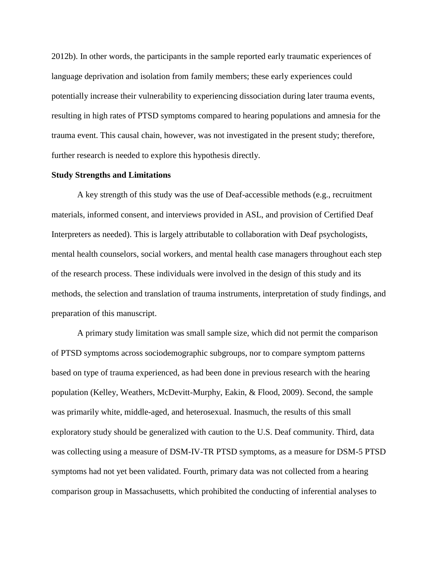2012b). In other words, the participants in the sample reported early traumatic experiences of language deprivation and isolation from family members; these early experiences could potentially increase their vulnerability to experiencing dissociation during later trauma events, resulting in high rates of PTSD symptoms compared to hearing populations and amnesia for the trauma event. This causal chain, however, was not investigated in the present study; therefore, further research is needed to explore this hypothesis directly.

## **Study Strengths and Limitations**

A key strength of this study was the use of Deaf-accessible methods (e.g., recruitment materials, informed consent, and interviews provided in ASL, and provision of Certified Deaf Interpreters as needed). This is largely attributable to collaboration with Deaf psychologists, mental health counselors, social workers, and mental health case managers throughout each step of the research process. These individuals were involved in the design of this study and its methods, the selection and translation of trauma instruments, interpretation of study findings, and preparation of this manuscript.

A primary study limitation was small sample size, which did not permit the comparison of PTSD symptoms across sociodemographic subgroups, nor to compare symptom patterns based on type of trauma experienced, as had been done in previous research with the hearing population (Kelley, Weathers, McDevitt-Murphy, Eakin, & Flood, 2009). Second, the sample was primarily white, middle-aged, and heterosexual. Inasmuch, the results of this small exploratory study should be generalized with caution to the U.S. Deaf community. Third, data was collecting using a measure of DSM-IV-TR PTSD symptoms, as a measure for DSM-5 PTSD symptoms had not yet been validated. Fourth, primary data was not collected from a hearing comparison group in Massachusetts, which prohibited the conducting of inferential analyses to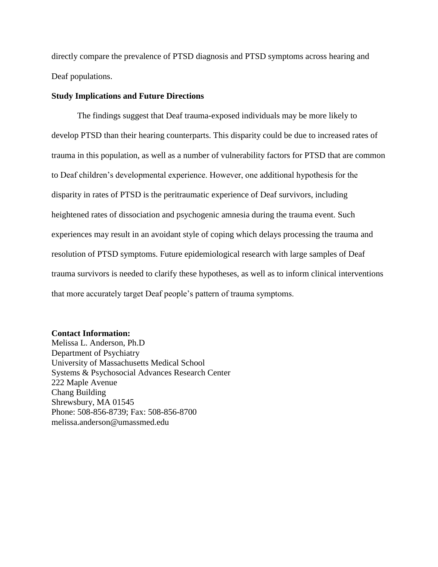directly compare the prevalence of PTSD diagnosis and PTSD symptoms across hearing and Deaf populations.

# **Study Implications and Future Directions**

The findings suggest that Deaf trauma-exposed individuals may be more likely to develop PTSD than their hearing counterparts. This disparity could be due to increased rates of trauma in this population, as well as a number of vulnerability factors for PTSD that are common to Deaf children's developmental experience. However, one additional hypothesis for the disparity in rates of PTSD is the peritraumatic experience of Deaf survivors, including heightened rates of dissociation and psychogenic amnesia during the trauma event. Such experiences may result in an avoidant style of coping which delays processing the trauma and resolution of PTSD symptoms. Future epidemiological research with large samples of Deaf trauma survivors is needed to clarify these hypotheses, as well as to inform clinical interventions that more accurately target Deaf people's pattern of trauma symptoms.

## **Contact Information:**

Melissa L. Anderson, Ph.D Department of Psychiatry University of Massachusetts Medical School Systems & Psychosocial Advances Research Center 222 Maple Avenue Chang Building Shrewsbury, MA 01545 Phone: 508-856-8739; Fax: 508-856-8700 melissa.anderson@umassmed.edu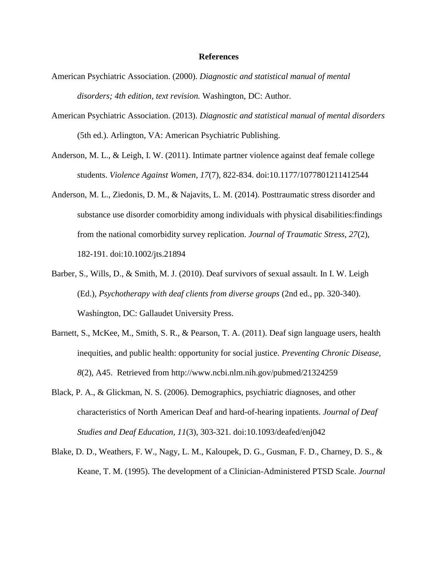## **References**

- American Psychiatric Association. (2000). *Diagnostic and statistical manual of mental disorders; 4th edition, text revision.* Washington, DC: Author.
- American Psychiatric Association. (2013). *Diagnostic and statistical manual of mental disorders* (5th ed.). Arlington, VA: American Psychiatric Publishing.
- Anderson, M. L., & Leigh, I. W. (2011). Intimate partner violence against deaf female college students. *Violence Against Women, 17*(7), 822-834. doi:10.1177/1077801211412544
- Anderson, M. L., Ziedonis, D. M., & Najavits, L. M. (2014). Posttraumatic stress disorder and substance use disorder comorbidity among individuals with physical disabilities:findings from the national comorbidity survey replication. *Journal of Traumatic Stress, 27*(2), 182-191. doi:10.1002/jts.21894
- Barber, S., Wills, D., & Smith, M. J. (2010). Deaf survivors of sexual assault. In I. W. Leigh (Ed.), *Psychotherapy with deaf clients from diverse groups* (2nd ed., pp. 320-340). Washington, DC: Gallaudet University Press.
- Barnett, S., McKee, M., Smith, S. R., & Pearson, T. A. (2011). Deaf sign language users, health inequities, and public health: opportunity for social justice. *Preventing Chronic Disease, 8*(2), A45. Retrieved from http://www.ncbi.nlm.nih.gov/pubmed/21324259
- Black, P. A., & Glickman, N. S. (2006). Demographics, psychiatric diagnoses, and other characteristics of North American Deaf and hard-of-hearing inpatients. *Journal of Deaf Studies and Deaf Education, 11*(3), 303-321. doi:10.1093/deafed/enj042
- Blake, D. D., Weathers, F. W., Nagy, L. M., Kaloupek, D. G., Gusman, F. D., Charney, D. S., & Keane, T. M. (1995). The development of a Clinician-Administered PTSD Scale. *Journal*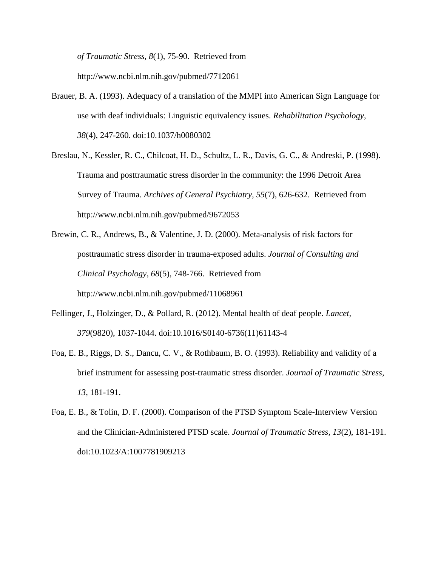*of Traumatic Stress, 8*(1), 75-90. Retrieved from http://www.ncbi.nlm.nih.gov/pubmed/7712061

- Brauer, B. A. (1993). Adequacy of a translation of the MMPI into American Sign Language for use with deaf individuals: Linguistic equivalency issues. *Rehabilitation Psychology, 38*(4), 247-260. doi:10.1037/h0080302
- Breslau, N., Kessler, R. C., Chilcoat, H. D., Schultz, L. R., Davis, G. C., & Andreski, P. (1998). Trauma and posttraumatic stress disorder in the community: the 1996 Detroit Area Survey of Trauma. *Archives of General Psychiatry, 55*(7), 626-632. Retrieved from http://www.ncbi.nlm.nih.gov/pubmed/9672053
- Brewin, C. R., Andrews, B., & Valentine, J. D. (2000). Meta-analysis of risk factors for posttraumatic stress disorder in trauma-exposed adults. *Journal of Consulting and Clinical Psychology, 68*(5), 748-766. Retrieved from http://www.ncbi.nlm.nih.gov/pubmed/11068961
- Fellinger, J., Holzinger, D., & Pollard, R. (2012). Mental health of deaf people. *Lancet, 379*(9820), 1037-1044. doi:10.1016/S0140-6736(11)61143-4
- Foa, E. B., Riggs, D. S., Dancu, C. V., & Rothbaum, B. O. (1993). Reliability and validity of a brief instrument for assessing post-traumatic stress disorder. *Journal of Traumatic Stress, 13*, 181-191.
- Foa, E. B., & Tolin, D. F. (2000). Comparison of the PTSD Symptom Scale-Interview Version and the Clinician-Administered PTSD scale. *Journal of Traumatic Stress, 13*(2), 181-191. doi:10.1023/A:1007781909213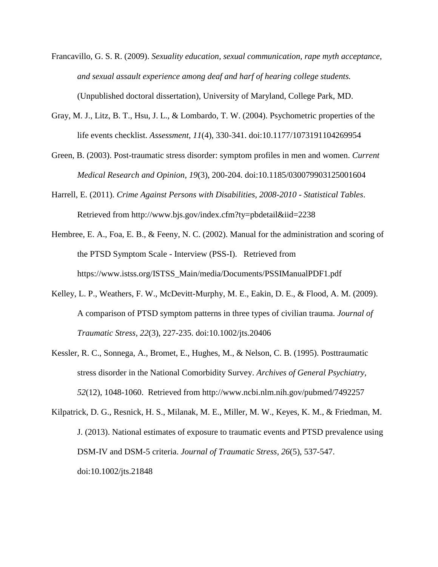- Francavillo, G. S. R. (2009). *Sexuality education, sexual communication, rape myth acceptance, and sexual assault experience among deaf and harf of hearing college students.* (Unpublished doctoral dissertation), University of Maryland, College Park, MD.
- Gray, M. J., Litz, B. T., Hsu, J. L., & Lombardo, T. W. (2004). Psychometric properties of the life events checklist. *Assessment, 11*(4), 330-341. doi:10.1177/1073191104269954
- Green, B. (2003). Post-traumatic stress disorder: symptom profiles in men and women. *Current Medical Research and Opinion, 19*(3), 200-204. doi:10.1185/030079903125001604
- Harrell, E. (2011). *Crime Against Persons with Disabilities, 2008-2010 - Statistical Tables*. Retrieved from http://www.bjs.gov/index.cfm?ty=pbdetail&iid=2238
- Hembree, E. A., Foa, E. B., & Feeny, N. C. (2002). Manual for the administration and scoring of the PTSD Symptom Scale - Interview (PSS-I). Retrieved from https://www.istss.org/ISTSS\_Main/media/Documents/PSSIManualPDF1.pdf
- Kelley, L. P., Weathers, F. W., McDevitt-Murphy, M. E., Eakin, D. E., & Flood, A. M. (2009). A comparison of PTSD symptom patterns in three types of civilian trauma. *Journal of Traumatic Stress, 22*(3), 227-235. doi:10.1002/jts.20406
- Kessler, R. C., Sonnega, A., Bromet, E., Hughes, M., & Nelson, C. B. (1995). Posttraumatic stress disorder in the National Comorbidity Survey. *Archives of General Psychiatry, 52*(12), 1048-1060. Retrieved from http://www.ncbi.nlm.nih.gov/pubmed/7492257
- Kilpatrick, D. G., Resnick, H. S., Milanak, M. E., Miller, M. W., Keyes, K. M., & Friedman, M. J. (2013). National estimates of exposure to traumatic events and PTSD prevalence using DSM-IV and DSM-5 criteria. *Journal of Traumatic Stress, 26*(5), 537-547. doi:10.1002/jts.21848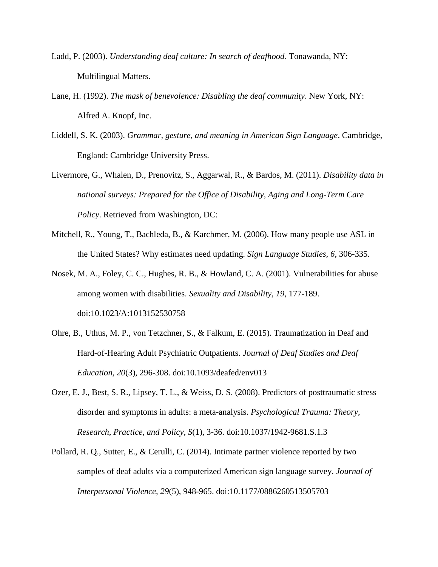- Ladd, P. (2003). *Understanding deaf culture: In search of deafhood*. Tonawanda, NY: Multilingual Matters.
- Lane, H. (1992). *The mask of benevolence: Disabling the deaf community*. New York, NY: Alfred A. Knopf, Inc.
- Liddell, S. K. (2003). *Grammar, gesture, and meaning in American Sign Language*. Cambridge, England: Cambridge University Press.
- Livermore, G., Whalen, D., Prenovitz, S., Aggarwal, R., & Bardos, M. (2011). *Disability data in national surveys: Prepared for the Office of Disability, Aging and Long-Term Care Policy*. Retrieved from Washington, DC:
- Mitchell, R., Young, T., Bachleda, B., & Karchmer, M. (2006). How many people use ASL in the United States? Why estimates need updating. *Sign Language Studies, 6*, 306-335.
- Nosek, M. A., Foley, C. C., Hughes, R. B., & Howland, C. A. (2001). Vulnerabilities for abuse among women with disabilities. *Sexuality and Disability, 19*, 177-189. doi:10.1023/A:1013152530758
- Ohre, B., Uthus, M. P., von Tetzchner, S., & Falkum, E. (2015). Traumatization in Deaf and Hard-of-Hearing Adult Psychiatric Outpatients. *Journal of Deaf Studies and Deaf Education, 20*(3), 296-308. doi:10.1093/deafed/env013
- Ozer, E. J., Best, S. R., Lipsey, T. L., & Weiss, D. S. (2008). Predictors of posttraumatic stress disorder and symptoms in adults: a meta-analysis. *Psychological Trauma: Theory, Research, Practice, and Policy, S*(1), 3-36. doi:10.1037/1942-9681.S.1.3
- Pollard, R. Q., Sutter, E., & Cerulli, C. (2014). Intimate partner violence reported by two samples of deaf adults via a computerized American sign language survey. *Journal of Interpersonal Violence, 29*(5), 948-965. doi:10.1177/0886260513505703